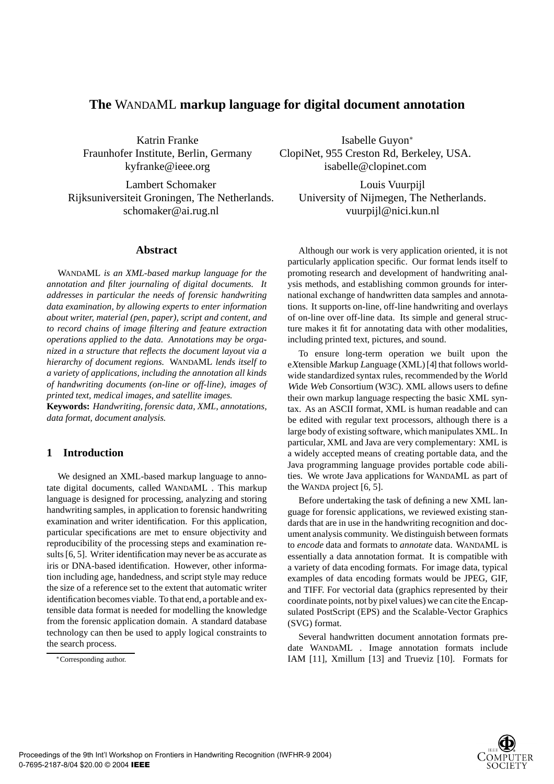# **The** WANDAML **markup language for digital document annotation**

Katrin Franke Fraunhofer Institute, Berlin, Germany kyfranke@ieee.org

Lambert Schomaker Rijksuniversiteit Groningen, The Netherlands. schomaker@ai.rug.nl

### **Abstract**

WANDAML *is an XML-based markup language for the annotation and filter journaling of digital documents. It addresses in particular the needs of forensic handwriting data examination, by allowing experts to enter information about writer, material (pen, paper), script and content, and to record chains of image filtering and feature extraction operations applied to the data. Annotations may be organized in a structure that reflects the document layout via a hierarchy of document regions.* WANDAML *lends itself to a variety of applications, including the annotation all kinds of handwriting documents (on-line or off-line), images of printed text, medical images, and satellite images.* **Keywords:** *Handwriting, forensic data, XML, annotations,*

*data format, document analysis.*

## **1 Introduction**

We designed an XML-based markup language to annotate digital documents, called WANDAML . This markup language is designed for processing, analyzing and storing handwriting samples, in application to forensic handwriting examination and writer identification. For this application, particular specifications are met to ensure objectivity and reproducibility of the processing steps and examination results [6, 5]. Writer identification may never be as accurate as iris or DNA-based identification. However, other information including age, handedness, and script style may reduce the size of a reference set to the extent that automatic writer identification becomes viable. To that end, a portable and extensible data format is needed for modelling the knowledge from the forensic application domain. A standard database technology can then be used to apply logical constraints to the search process.

Isabelle Guyon<sup>∗</sup> ClopiNet, 955 Creston Rd, Berkeley, USA. isabelle@clopinet.com

> Louis Vuurpijl University of Nijmegen, The Netherlands. vuurpijl@nici.kun.nl

Although our work is very application oriented, it is not particularly application specific. Our format lends itself to promoting research and development of handwriting analysis methods, and establishing common grounds for international exchange of handwritten data samples and annotations. It supports on-line, off-line handwriting and overlays of on-line over off-line data. Its simple and general structure makes it fit for annotating data with other modalities, including printed text, pictures, and sound.

To ensure long-term operation we built upon the eXtensible <sup>M</sup>arkup <sup>L</sup>anguage (XML) [4] that follows worldwide standardized syntax rules, recommended by the <sup>W</sup>orld <sup>W</sup>ide <sup>W</sup>eb <sup>C</sup>onsortium (W3C). XML allows users to define their own markup language respecting the basic XML syntax. As an ASCII format, XML is human readable and can be edited with regular text processors, although there is a large body of existing software, which manipulates XML. In particular, XML and Java are very complementary: XML is a widely accepted means of creating portable data, and the Java programming language provides portable code abilities. We wrote Java applications for WANDAML as part of the WANDA project [6, 5].

Before undertaking the task of defining a new XML language for forensic applications, we reviewed existing standards that are in use in the handwriting recognition and document analysis community. We distinguish between formats to *encode* data and formats to *annotate* data. WANDAML is essentially a data annotation format. It is compatible with a variety of data encoding formats. For image data, typical examples of data encoding formats would be JPEG, GIF, and TIFF. For vectorial data (graphics represented by their coordinate points, not by pixel values) we can cite the Encapsulated PostScript (EPS) and the Scalable-Vector Graphics (SVG) format.

Several handwritten document annotation formats predate WANDAML . Image annotation formats include IAM [11], Xmillum [13] and Trueviz [10]. Formats for



<sup>∗</sup>Corresponding author.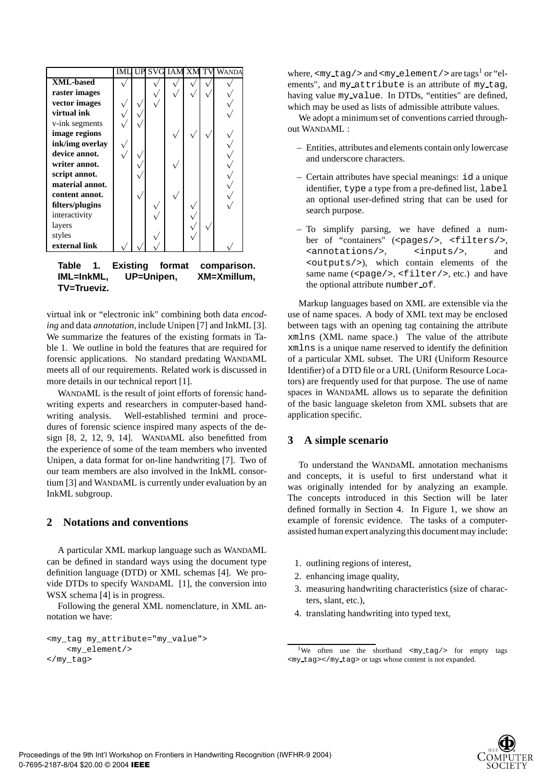

**Table 1. Existing format comparison. IML=InkML, UP=Unipen, XM=Xmillum, TV=Trueviz.**

virtual ink or "electronic ink" combining both data *encoding* and data *annotation*, include Unipen [7] and InkML [3]. We summarize the features of the existing formats in Table 1. We outline in bold the features that are required for forensic applications. No standard predating WANDAML meets all of our requirements. Related work is discussed in more details in our technical report [1].

WANDAML is the result of joint efforts of forensic handwriting experts and researchers in computer-based handwriting analysis. Well-established termini and procedures of forensic science inspired many aspects of the design [8, 2, 12, 9, 14]. WANDAML also benefitted from the experience of some of the team members who invented Unipen, a data format for on-line handwriting [7]. Two of our team members are also involved in the InkML consortium [3] and WANDAML is currently under evaluation by an InkML subgroup.

### **2 Notations and conventions**

A particular XML markup language such as WANDAML can be defined in standard ways using the document type definition language (DTD) or XML schemas [4]. We provide DTDs to specify WANDAML [1], the conversion into WSX schema [4] is in progress.

Following the general XML nomenclature, in XML annotation we have:

```
<my_tag my_attribute="my_value">
   <my_element/>
</my_tag>
```
where,  $\langle \text{my\_tag}\rangle$  and  $\langle \text{my\_element}\rangle$  are tags<sup>1</sup> or "elements", and my attribute is an attribute of my tag, having value my\_value. In DTDs, "entities" are defined, which may be used as lists of admissible attribute values.

We adopt a minimum set of conventions carried throughout WANDAML :

- Entities, attributes and elements contain only lowercase and underscore characters.
- Certain attributes have special meanings: id a unique identifier, type a type from a pre-defined list, label an optional user-defined string that can be used for search purpose.
- To simplify parsing, we have defined a number of "containers" (<pages/>, <filters/>, <annotations/>, <inputs/>, and <outputs/>), which contain elements of the same name  $(\text{space}/\text{>}$ ,  $\text{filter}/\text{>}$ , etc.) and have the optional attribute number of.

Markup languages based on XML are extensible via the use of name spaces. A body of XML text may be enclosed between tags with an opening tag containing the attribute xmlns (XML name space.) The value of the attribute xmlns is a unique name reserved to identify the definition of a particular XML subset. The URI (Uniform Resource Identifier) of a DTD file or a URL (Uniform Resource Locators) are frequently used for that purpose. The use of name spaces in WANDAML allows us to separate the definition of the basic language skeleton from XML subsets that are application specific.

### **3 A simple scenario**

To understand the WANDAML annotation mechanisms and concepts, it is useful to first understand what it was originally intended for by analyzing an example. The concepts introduced in this Section will be later defined formally in Section 4. In Figure 1, we show an example of forensic evidence. The tasks of a computerassisted human expert analyzing this document may include:

- 1. outlining regions of interest,
- 2. enhancing image quality,
- 3. measuring handwriting characteristics (size of characters, slant, etc.),
- 4. translating handwriting into typed text,



<sup>&</sup>lt;sup>1</sup>We often use the shorthand  $\langle my\_tag \rangle$  for empty tags <my tag></my tag> or tags whose content is not expanded.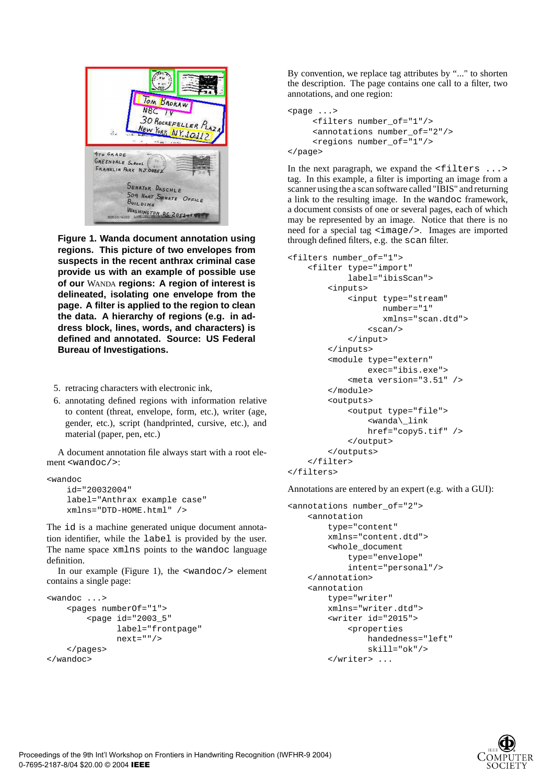

**Figure 1. Wanda document annotation using regions. This picture of two envelopes from suspects in the recent anthrax criminal case provide us with an example of possible use of our** WANDA **regions: A region of interest is delineated, isolating one envelope from the page. A filter is applied to the region to clean the data. A hierarchy of regions (e.g. in address block, lines, words, and characters) is defined and annotated. Source: US Federal Bureau of Investigations.**

- 5. retracing characters with electronic ink,
- 6. annotating defined regions with information relative to content (threat, envelope, form, etc.), writer (age, gender, etc.), script (handprinted, cursive, etc.), and material (paper, pen, etc.)

A document annotation file always start with a root element <wandoc/>:

<wandoc

id="20032004" label="Anthrax example case" xmlns="DTD-HOME.html" />

The id is a machine generated unique document annotation identifier, while the label is provided by the user. The name space xmlns points to the wandoc language definition.

In our example (Figure 1), the  $\langle \text{w} \rangle$  = element contains a single page:

```
<wandoc ...>
    <pages numberOf="1">
        <page id="2003_5"
              label="frontpage"
              next=""/>
    </pages>
</wandoc>
```
By convention, we replace tag attributes by "..." to shorten the description. The page contains one call to a filter, two annotations, and one region:

```
<page ...>
    <filters number_of="1"/>
     <annotations number_of="2"/>
     <regions number_of="1"/>
</page>
```
In the next paragraph, we expand the  $\leq$  filters ...> tag. In this example, a filter is importing an image from a scanner using the a scan software called "IBIS" and returning a link to the resulting image. In the wandoc framework, a document consists of one or several pages, each of which may be represented by an image. Notice that there is no need for a special tag <image/>. Images are imported through defined filters, e.g. the scan filter.

```
<filters number_of="1">
    <filter type="import"
            label="ibisScan">
        <inputs>
            <input type="stream"
                   number="1"
                    xmlns="scan.dtd">
                 \frac{1}{2}</input>
        </inputs>
        <module type="extern"
                exec="ibis.exe">
            <meta version="3.51" />
        </module>
        <outputs>
            <output type="file">
                <wanda\_link
                href="copy5.tif" />
            </output>
        </outputs>
    </filter>
</filters>
```
Annotations are entered by an expert (e.g. with a GUI):

```
<annotations number_of="2">
    <annotation
       type="content"
       xmlns="content.dtd">
        <whole_document
            type="envelope"
            intent="personal"/>
    </annotation>
    <annotation
       type="writer"
       xmlns="writer.dtd">
        <writer id="2015">
            <properties
                handedness="left"
                skill="ok"/>
        </writer> ...
```
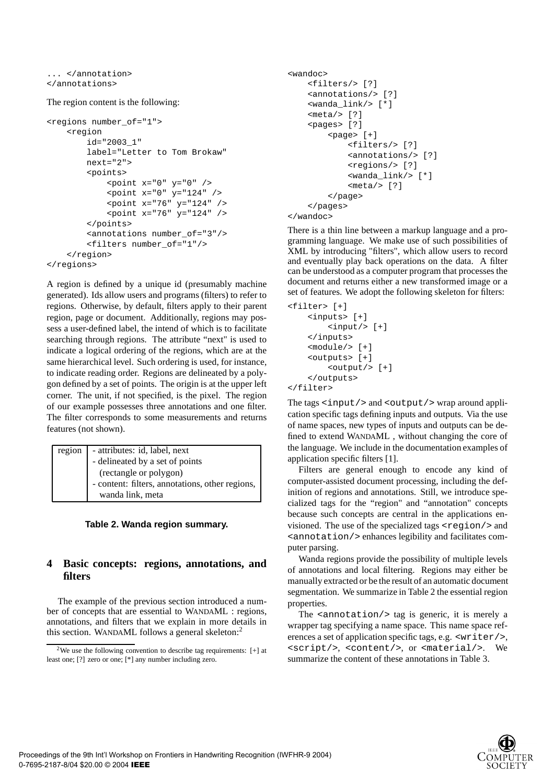... </annotation> </annotations>

The region content is the following:

```
<regions number_of="1">
    <region
        id="2003_1"
        label="Letter to Tom Brokaw"
        next="2">
        <points>
            <point x="0" y="0" />
            <point x="0" y="124" />
            <point x="76" y="124" />
            <point x="76" y="124" />
        </points>
        <annotations number_of="3"/>
        <filters number_of="1"/>
    </region>
</regions>
```
A region is defined by a unique id (presumably machine generated). Ids allow users and programs (filters) to refer to regions. Otherwise, by default, filters apply to their parent region, page or document. Additionally, regions may possess a user-defined label, the intend of which is to facilitate searching through regions. The attribute "next" is used to indicate a logical ordering of the regions, which are at the same hierarchical level. Such ordering is used, for instance, to indicate reading order. Regions are delineated by a polygon defined by a set of points. The origin is at the upper left corner. The unit, if not specified, is the pixel. The region of our example possesses three annotations and one filter. The filter corresponds to some measurements and returns features (not shown).

| region   - attributes: id, label, next          |
|-------------------------------------------------|
| - delineated by a set of points                 |
| (rectangle or polygon)                          |
| - content: filters, annotations, other regions, |
| wanda link, meta                                |

### **Table 2. Wanda region summary.**

## **4 Basic concepts: regions, annotations, and filters**

The example of the previous section introduced a number of concepts that are essential to WANDAML : regions, annotations, and filters that we explain in more details in this section. WANDAML follows a general skeleton:2

```
<wandoc>
    <filters/> [?]
     <annotations/> [?]
     <wanda_link/> [*]
     <meta/> [?]
     <pages> [?]
         <page> [+]
              <filters/> [?]
              <annotations/> [?]
               <regions/> [?]
               <wanda_link/> [*]
              <math>meta</math> / <math>\left[ ? \right]</math></page>
     </pages>
</wandoc>
```
There is a thin line between a markup language and a programming language. We make use of such possibilities of XML by introducing "filters", which allow users to record and eventually play back operations on the data. A filter can be understood as a computer program that processes the document and returns either a new transformed image or a set of features. We adopt the following skeleton for filters:

```
<filter> [+]
    <inputs> [+]
        \langleinput/>[+]</inputs>
    <module/> [+]
    <outputs> [+]
        <output/> [+]
    </outputs>
</filter>
```
The tags <input/> and <output/> wrap around application specific tags defining inputs and outputs. Via the use of name spaces, new types of inputs and outputs can be defined to extend WANDAML , without changing the core of the language. We include in the documentation examples of application specific filters [1].

Filters are general enough to encode any kind of computer-assisted document processing, including the definition of regions and annotations. Still, we introduce specialized tags for the "region" and "annotation" concepts because such concepts are central in the applications envisioned. The use of the specialized tags  $\langle$  reqion/ $\rangle$  and <annotation/> enhances legibility and facilitates computer parsing.

Wanda regions provide the possibility of multiple levels of annotations and local filtering. Regions may either be manually extracted or be the result of an automatic document segmentation. We summarize in Table 2 the essential region properties.

The <annotation/> tag is generic, it is merely a wrapper tag specifying a name space. This name space references a set of application specific tags, e.g. <writer/>, <script/>, <content/>, or <material/>. We summarize the content of these annotations in Table 3.



<sup>&</sup>lt;sup>2</sup>We use the following convention to describe tag requirements:  $[+]$  at least one; [?] zero or one; [\*] any number including zero.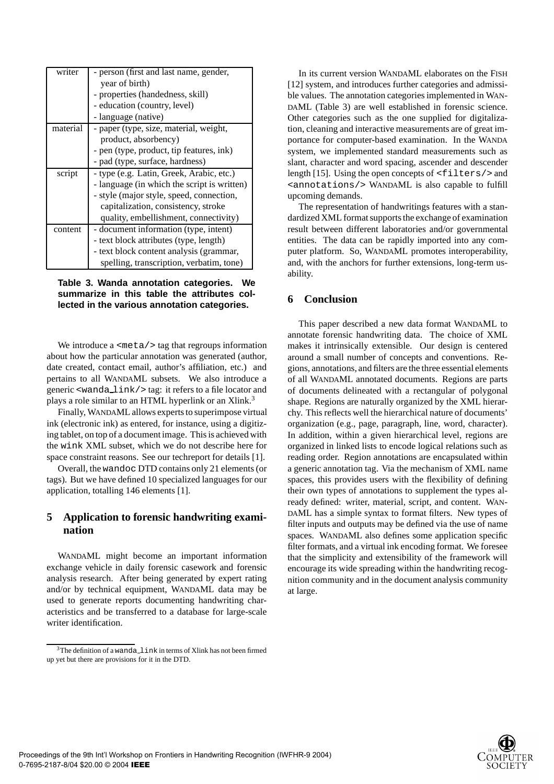| writer   | - person (first and last name, gender,      |
|----------|---------------------------------------------|
|          | year of birth)                              |
|          | - properties (handedness, skill)            |
|          | - education (country, level)                |
|          | - language (native)                         |
| material | - paper (type, size, material, weight,      |
|          | product, absorbency)                        |
|          | - pen (type, product, tip features, ink)    |
|          | - pad (type, surface, hardness)             |
| script   | - type (e.g. Latin, Greek, Arabic, etc.)    |
|          | - language (in which the script is written) |
|          | - style (major style, speed, connection,    |
|          | capitalization, consistency, stroke         |
|          | quality, embellishment, connectivity)       |
| content  | - document information (type, intent)       |
|          | - text block attributes (type, length)      |
|          | - text block content analysis (grammar,     |
|          | spelling, transcription, verbatim, tone)    |

**Table 3. Wanda annotation categories. We summarize in this table the attributes collected in the various annotation categories.**

We introduce a  $$z \leq k$  tag that regroups information$ about how the particular annotation was generated (author, date created, contact email, author's affiliation, etc.) and pertains to all WANDAML subsets. We also introduce a generic <wanda link/> tag: it refers to a file locator and plays a role similar to an HTML hyperlink or an Xlink.<sup>3</sup>

Finally, WANDAML allows experts to superimpose virtual ink (electronic ink) as entered, for instance, using a digitizing tablet, on top of a document image. This is achieved with the wink XML subset, which we do not describe here for space constraint reasons. See our techreport for details [1].

Overall, the wandoc DTD contains only 21 elements (or tags). But we have defined 10 specialized languages for our application, totalling 146 elements [1].

## **5 Application to forensic handwriting examination**

WANDAML might become an important information exchange vehicle in daily forensic casework and forensic analysis research. After being generated by expert rating and/or by technical equipment, WANDAML data may be used to generate reports documenting handwriting characteristics and be transferred to a database for large-scale writer identification.

In its current version WANDAML elaborates on the FISH [12] system, and introduces further categories and admissible values. The annotation categories implemented in WAN-DAML (Table 3) are well established in forensic science. Other categories such as the one supplied for digitalization, cleaning and interactive measurements are of great importance for computer-based examination. In the WANDA system, we implemented standard measurements such as slant, character and word spacing, ascender and descender length [15]. Using the open concepts of <filters/> and <annotations/> WANDAML is also capable to fulfill upcoming demands.

The representation of handwritings features with a standardized XML format supports the exchange of examination result between different laboratories and/or governmental entities. The data can be rapidly imported into any computer platform. So, WANDAML promotes interoperability, and, with the anchors for further extensions, long-term usability.

### **6 Conclusion**

This paper described a new data format WANDAML to annotate forensic handwriting data. The choice of XML makes it intrinsically extensible. Our design is centered around a small number of concepts and conventions. Regions, annotations, and filters are the three essential elements of all WANDAML annotated documents. Regions are parts of documents delineated with a rectangular of polygonal shape. Regions are naturally organized by the XML hierarchy. This reflects well the hierarchical nature of documents' organization (e.g., page, paragraph, line, word, character). In addition, within a given hierarchical level, regions are organized in linked lists to encode logical relations such as reading order. Region annotations are encapsulated within a generic annotation tag. Via the mechanism of XML name spaces, this provides users with the flexibility of defining their own types of annotations to supplement the types already defined: writer, material, script, and content. WAN-DAML has a simple syntax to format filters. New types of filter inputs and outputs may be defined via the use of name spaces. WANDAML also defines some application specific filter formats, and a virtual ink encoding format. We foresee that the simplicity and extensibility of the framework will encourage its wide spreading within the handwriting recognition community and in the document analysis community at large.



 $3$ The definition of a wanda link in terms of Xlink has not been firmed up yet but there are provisions for it in the DTD.